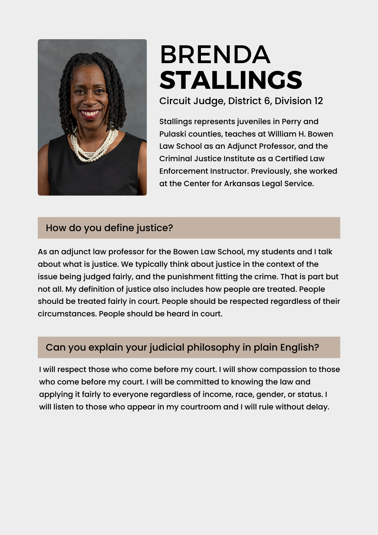

# BRENDA **STALLINGS**

Circuit Judge, District 6, Division 12

Stallings represents juveniles in Perry and Pulaski counties, teaches at William H. Bowen Law School as an Adjunct Professor, and the Criminal Justice Institute as a Certified Law Enforcement Instructor. Previously, she worked at the Center for Arkansas Legal Service.

#### How do you define justice?

As an adjunct law professor for the Bowen Law School, my students and I talk about what is justice. We typically think about justice in the context of the issue being judged fairly, and the punishment fitting the crime. That is part but not all. My definition of justice also includes how people are treated. People should be treated fairly in court. People should be respected regardless of their circumstances. People should be heard in court.

## Can you explain your judicial philosophy in plain English?

I will respect those who come before my court. I will show compassion to those who come before my court. I will be committed to knowing the law and applying it fairly to everyone regardless of income, race, gender, or status. I will listen to those who appear in my courtroom and I will rule without delay.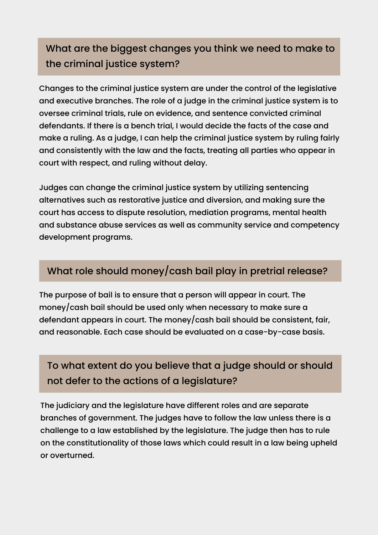# What are the biggest changes you think we need to make to the criminal justice system?

Changes to the criminal justice system are under the control of the legislative and executive branches. The role of a judge in the criminal justice system is to oversee criminal trials, rule on evidence, and sentence convicted criminal defendants. If there is a bench trial, I would decide the facts of the case and make a ruling. As a judge, I can help the criminal justice system by ruling fairly and consistently with the law and the facts, treating all parties who appear in court with respect, and ruling without delay.

Judges can change the criminal justice system by utilizing sentencing alternatives such as restorative justice and diversion, and making sure the court has access to dispute resolution, mediation programs, mental health and substance abuse services as well as community service and competency development programs.

#### What role should money/cash bail play in pretrial release?

The purpose of bail is to ensure that a person will appear in court. The money/cash bail should be used only when necessary to make sure a defendant appears in court. The money/cash bail should be consistent, fair, and reasonable. Each case should be evaluated on a case-by-case basis.

## To what extent do you believe that a judge should or should not defer to the actions of a legislature?

The judiciary and the legislature have different roles and are separate branches of government. The judges have to follow the law unless there is a challenge to a law established by the legislature. The judge then has to rule on the constitutionality of those laws which could result in a law being upheld or overturned.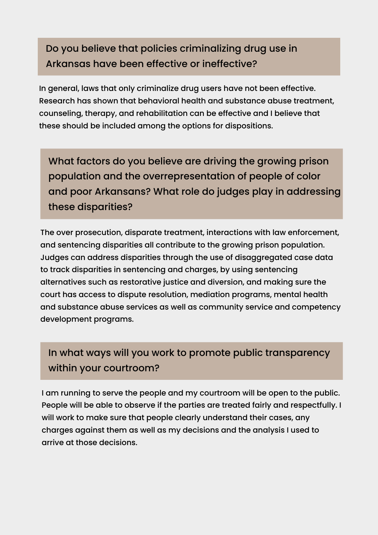# Do you believe that policies criminalizing drug use in Arkansas have been effective or ineffective?

In general, laws that only criminalize drug users have not been effective. Research has shown that behavioral health and substance abuse treatment, counseling, therapy, and rehabilitation can be effective and I believe that these should be included among the options for dispositions.

What factors do you believe are driving the growing prison population and the overrepresentation of people of color and poor Arkansans? What role do judges play in addressing these disparities?

The over prosecution, disparate treatment, interactions with law enforcement, and sentencing disparities all contribute to the growing prison population. Judges can address disparities through the use of disaggregated case data to track disparities in sentencing and charges, by using sentencing alternatives such as restorative justice and diversion, and making sure the court has access to dispute resolution, mediation programs, mental health and substance abuse services as well as community service and competency development programs.

# In what ways will you work to promote public transparency within your courtroom?

I am running to serve the people and my courtroom will be open to the public. People will be able to observe if the parties are treated fairly and respectfully. I will work to make sure that people clearly understand their cases, any charges against them as well as my decisions and the analysis I used to arrive at those decisions.